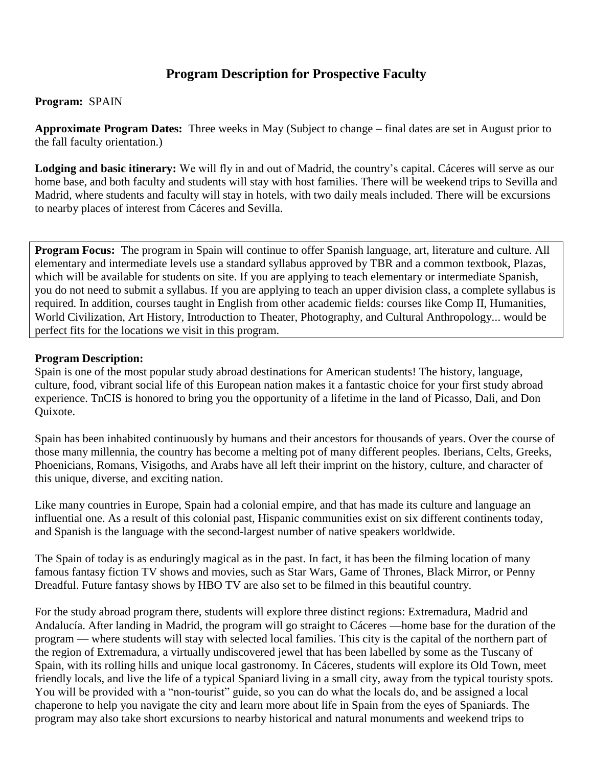# **Program Description for Prospective Faculty**

### **Program:** SPAIN

**Approximate Program Dates:** Three weeks in May (Subject to change – final dates are set in August prior to the fall faculty orientation.)

**Lodging and basic itinerary:** We will fly in and out of Madrid, the country's capital. Cáceres will serve as our home base, and both faculty and students will stay with host families. There will be weekend trips to Sevilla and Madrid, where students and faculty will stay in hotels, with two daily meals included. There will be excursions to nearby places of interest from Cáceres and Sevilla.

**Program Focus:** The program in Spain will continue to offer Spanish language, art, literature and culture. All elementary and intermediate levels use a standard syllabus approved by TBR and a common textbook, Plazas, which will be available for students on site. If you are applying to teach elementary or intermediate Spanish, you do not need to submit a syllabus. If you are applying to teach an upper division class, a complete syllabus is required. In addition, courses taught in English from other academic fields: courses like Comp II, Humanities, World Civilization, Art History, Introduction to Theater, Photography, and Cultural Anthropology... would be perfect fits for the locations we visit in this program.

### **Program Description:**

Spain is one of the most popular study abroad destinations for American students! The history, language, culture, food, vibrant social life of this European nation makes it a fantastic choice for your first study abroad experience. TnCIS is honored to bring you the opportunity of a lifetime in the land of Picasso, Dali, and Don Quixote.

Spain has been inhabited continuously by humans and their ancestors for thousands of years. Over the course of those many millennia, the country has become a melting pot of many different peoples. Iberians, Celts, Greeks, Phoenicians, Romans, Visigoths, and Arabs have all left their imprint on the history, culture, and character of this unique, diverse, and exciting nation.

Like many countries in Europe, Spain had a colonial empire, and that has made its culture and language an influential one. As a result of this colonial past, Hispanic communities exist on six different continents today, and Spanish is the language with the second-largest number of native speakers worldwide.

The Spain of today is as enduringly magical as in the past. In fact, it has been the filming location of many famous fantasy fiction TV shows and movies, such as Star Wars, Game of Thrones, Black Mirror, or Penny Dreadful. Future fantasy shows by HBO TV are also set to be filmed in this beautiful country.

For the study abroad program there, students will explore three distinct regions: Extremadura, Madrid and Andalucía. After landing in Madrid, the program will go straight to Cáceres —home base for the duration of the program — where students will stay with selected local families. This city is the capital of the northern part of the region of Extremadura, a virtually undiscovered jewel that has been labelled by some as the Tuscany of Spain, with its rolling hills and unique local gastronomy. In Cáceres, students will explore its Old Town, meet friendly locals, and live the life of a typical Spaniard living in a small city, away from the typical touristy spots. You will be provided with a "non-tourist" guide, so you can do what the locals do, and be assigned a local chaperone to help you navigate the city and learn more about life in Spain from the eyes of Spaniards. The program may also take short excursions to nearby historical and natural monuments and weekend trips to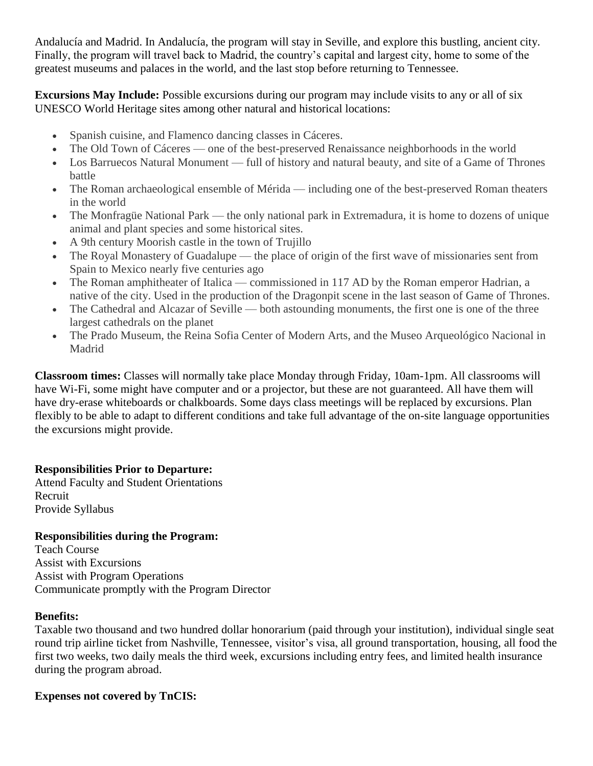Andalucía and Madrid. In Andalucía, the program will stay in Seville, and explore this bustling, ancient city. Finally, the program will travel back to Madrid, the country's capital and largest city, home to some of the greatest museums and palaces in the world, and the last stop before returning to Tennessee.

**Excursions May Include:** Possible excursions during our program may include visits to any or all of six UNESCO World Heritage sites among other natural and historical locations:

- Spanish cuisine, and Flamenco dancing classes in Cáceres.
- The Old Town of Cáceres one of the best-preserved Renaissance neighborhoods in the world
- Los Barruecos Natural Monument full of history and natural beauty, and site of a Game of Thrones battle
- The Roman archaeological ensemble of Mérida including one of the best-preserved Roman theaters in the world
- The Monfragüe National Park the only national park in Extremadura, it is home to dozens of unique animal and plant species and some historical sites.
- A 9th century Moorish castle in the town of Trujillo
- The Royal Monastery of Guadalupe the place of origin of the first wave of missionaries sent from Spain to Mexico nearly five centuries ago
- The Roman amphitheater of Italica commissioned in 117 AD by the Roman emperor Hadrian, a native of the city. Used in the production of the Dragonpit scene in the last season of Game of Thrones.
- The Cathedral and Alcazar of Seville both astounding monuments, the first one is one of the three largest cathedrals on the planet
- The Prado Museum, the Reina Sofia Center of Modern Arts, and the Museo Arqueológico Nacional in Madrid

**Classroom times:** Classes will normally take place Monday through Friday, 10am-1pm. All classrooms will have Wi-Fi, some might have computer and or a projector, but these are not guaranteed. All have them will have dry-erase whiteboards or chalkboards. Some days class meetings will be replaced by excursions. Plan flexibly to be able to adapt to different conditions and take full advantage of the on-site language opportunities the excursions might provide.

# **Responsibilities Prior to Departure:**

Attend Faculty and Student Orientations Recruit Provide Syllabus

# **Responsibilities during the Program:**

Teach Course Assist with Excursions Assist with Program Operations Communicate promptly with the Program Director

# **Benefits:**

Taxable two thousand and two hundred dollar honorarium (paid through your institution), individual single seat round trip airline ticket from Nashville, Tennessee, visitor's visa, all ground transportation, housing, all food the first two weeks, two daily meals the third week, excursions including entry fees, and limited health insurance during the program abroad.

# **Expenses not covered by TnCIS:**